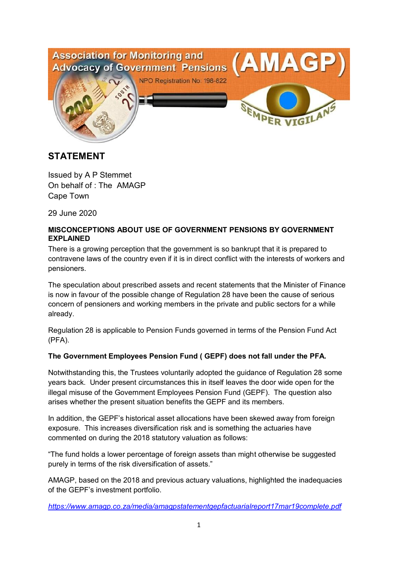

# **STATEMENT**

Issued by A P Stemmet On behalf of : The AMAGP Cape Town

29 June 2020

#### **MISCONCEPTIONS ABOUT USE OF GOVERNMENT PENSIONS BY GOVERNMENT EXPLAINED**

There is a growing perception that the government is so bankrupt that it is prepared to contravene laws of the country even if it is in direct conflict with the interests of workers and pensioners.

The speculation about prescribed assets and recent statements that the Minister of Finance is now in favour of the possible change of Regulation 28 have been the cause of serious concern of pensioners and working members in the private and public sectors for a while already.

Regulation 28 is applicable to Pension Funds governed in terms of the Pension Fund Act (PFA).

# **The Government Employees Pension Fund ( GEPF) does not fall under the PFA.**

Notwithstanding this, the Trustees voluntarily adopted the guidance of Regulation 28 some years back. Under present circumstances this in itself leaves the door wide open for the illegal misuse of the Government Employees Pension Fund (GEPF). The question also arises whether the present situation benefits the GEPF and its members.

In addition, the GEPF's historical asset allocations have been skewed away from foreign exposure. This increases diversification risk and is something the actuaries have commented on during the 2018 statutory valuation as follows:

"The fund holds a lower percentage of foreign assets than might otherwise be suggested purely in terms of the risk diversification of assets."

AMAGP, based on the 2018 and previous actuary valuations, highlighted the inadequacies of the GEPF's investment portfolio.

*https://www.amagp.co.za/media/amagpstatementgepfactuarialreport17mar19complete.pdf*